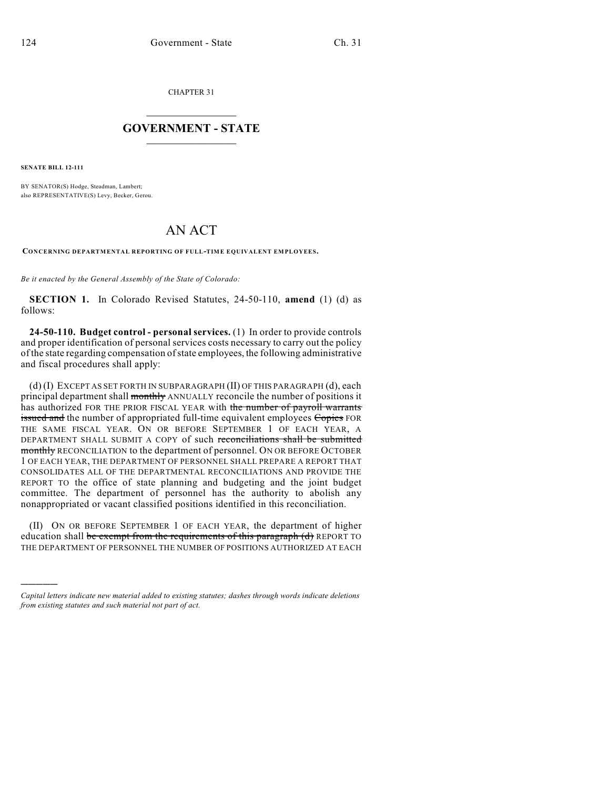CHAPTER 31

## $\mathcal{L}_\text{max}$  . The set of the set of the set of the set of the set of the set of the set of the set of the set of the set of the set of the set of the set of the set of the set of the set of the set of the set of the set **GOVERNMENT - STATE**  $\_$   $\_$

**SENATE BILL 12-111**

)))))

BY SENATOR(S) Hodge, Steadman, Lambert; also REPRESENTATIVE(S) Levy, Becker, Gerou.

## AN ACT

**CONCERNING DEPARTMENTAL REPORTING OF FULL-TIME EQUIVALENT EMPLOYEES.**

*Be it enacted by the General Assembly of the State of Colorado:*

**SECTION 1.** In Colorado Revised Statutes, 24-50-110, **amend** (1) (d) as follows:

**24-50-110. Budget control - personal services.** (1) In order to provide controls and proper identification of personal services costs necessary to carry out the policy of the state regarding compensation ofstate employees, the following administrative and fiscal procedures shall apply:

(d) (I) EXCEPT AS SET FORTH IN SUBPARAGRAPH (II) OF THIS PARAGRAPH (d), each principal department shall monthly ANNUALLY reconcile the number of positions it has authorized FOR THE PRIOR FISCAL YEAR with the number of payroll warrants issued and the number of appropriated full-time equivalent employees Copies FOR THE SAME FISCAL YEAR. ON OR BEFORE SEPTEMBER 1 OF EACH YEAR, A DEPARTMENT SHALL SUBMIT A COPY of such reconciliations shall be submitted monthly RECONCILIATION to the department of personnel. ON OR BEFORE OCTOBER 1 OF EACH YEAR, THE DEPARTMENT OF PERSONNEL SHALL PREPARE A REPORT THAT CONSOLIDATES ALL OF THE DEPARTMENTAL RECONCILIATIONS AND PROVIDE THE REPORT TO the office of state planning and budgeting and the joint budget committee. The department of personnel has the authority to abolish any nonappropriated or vacant classified positions identified in this reconciliation.

(II) ON OR BEFORE SEPTEMBER 1 OF EACH YEAR, the department of higher education shall be exempt from the requirements of this paragraph (d) REPORT TO THE DEPARTMENT OF PERSONNEL THE NUMBER OF POSITIONS AUTHORIZED AT EACH

*Capital letters indicate new material added to existing statutes; dashes through words indicate deletions from existing statutes and such material not part of act.*